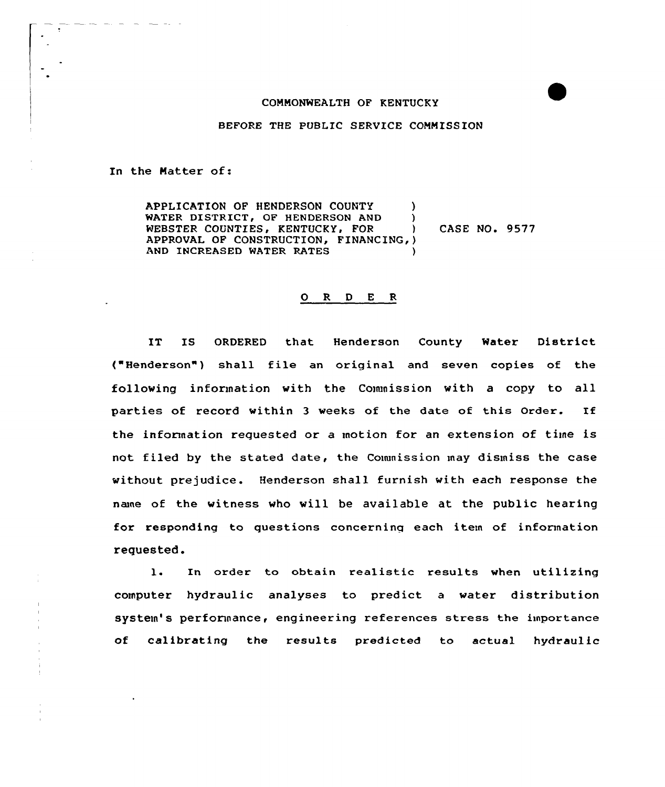## COMMONWEALTH OF KENTUCKY

BEFORE THE PUBLIC SERVICE COMMISSION

In the Natter of:

APPLICATION OF HENDERSON COUNTY ) WATER DISTRICT, OF HENDERSON AND WEBSTER COUNTIES, KENTUCKY, FOR APPROVAL OF CONSTRUCTION, FINANCING, ) AND INCREASED WATER RATES CASE NO. 9577

## 0 R <sup>D</sup> E R

IT IS ORDERED that Henderson County Water District ("Henderson") shall file an original and seven copies of the following information with the Commission with a copy to all parties of record within <sup>3</sup> weeks of the date of this Order. If the information requested or a motion for an extension of tiine is not filed by the stated date, the Couunission may dismiss the case without prejudice. Henderson shall furnish with each response the nane of the witness who will be available at the public hearing for responding to questions concerning each item of information requested.

l. In order to obtain realistic results when utilizing computer hydraulic analyses to predict a water distribution system's performance, engineering references stress the importance of calibrating the results predicted to actual hydraulic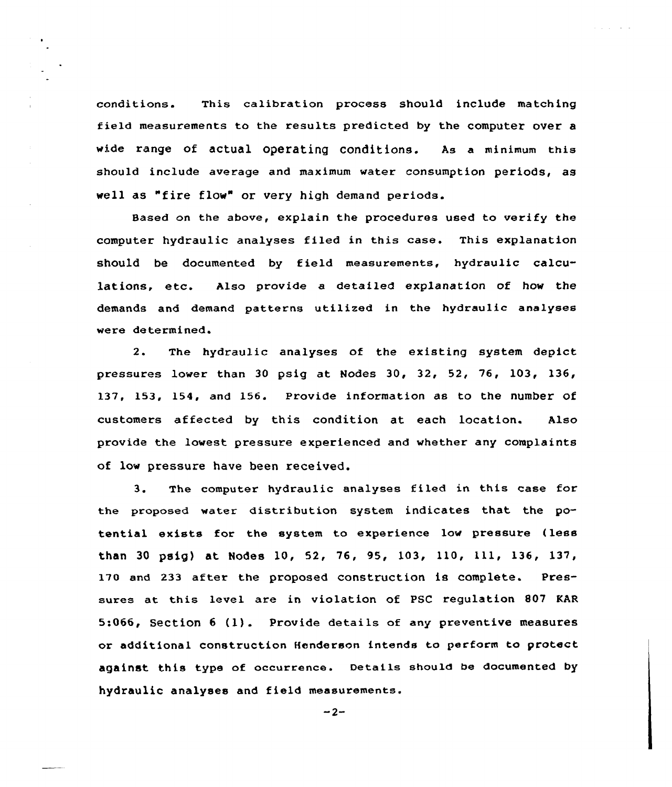conditions. This calibration process should include matching field measurements to the results predicted by the computer over a wide range of actual operating conditions. As a minimum this should include average and maximum water consumption periods, as well as "fire flow" or very high demand periods.

فالقارب والمراوي

Based on the above, explain the procedures used to verify the computer hydraulic analyses filed in this case. This explanation should be documented by field measurements, hydraulic calculations, etc. Also provide a detailed explanation of how the demands and demand patterns utilized in the hydraulic analyses were determined.

2. The hydraulic analyses of the existing system depict pressures lower than 30 psig at Nodes 30, 32, 52, 76, 103, 136, 137, 153, 154, and 156. Provide information as to the number of customers affected by this condition at each location. Also provide the lowest pressure experienced and whether any complaints of low pressure have been received.

3. The computer hydraulic analyses filed in this case for the proposed water distribution system indicates that the potential exists for the system to experience low pressure {less than <sup>30</sup> psig) at Nodes l0, 52, 76, 95, 103, 110, 111, 136, 137, 170 and 233 after the proposed construction is complete. Pressures at this level are in violation of PSC regulation 807 EAR 5:066, Section <sup>6</sup> (1). Provide details of any preventive measures or additional construction Henderson intends to perform to protect against this type of occurrence. Details should be documented by hydraulic analyses and field measurements.

 $-2-$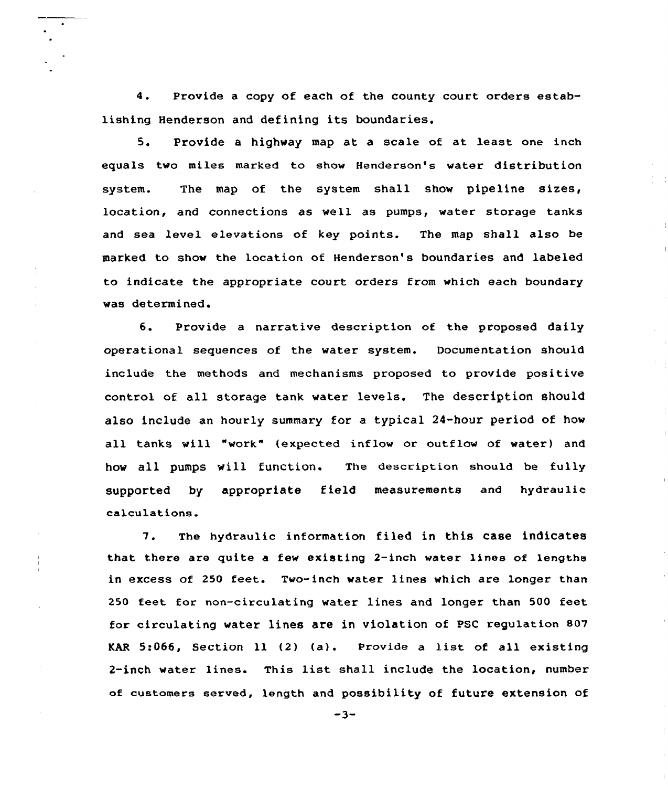4. Provide a copy of each of the county court orders establishing Henderson and defining its boundaries.

5. Provide a highway map at a scale of at least one inch equals two miles marked to show Henderson's water distribution system. The map of the system shall show pipeline sizes, location, and connections as veil as pumps, water storage tanks and sea level elevations of key points. The map shall also be marked to show the location of Henderson's boundaries and labeled to indicate the appropriate court orders from which each boundaxy vas determined.

 $\overline{\phantom{a}}$ 

6. Provide a narrative description of the proposed daily opexational sequences of the water system. Documentation should include the methods and mechanisms proposed to provide positive control of all stoxage tank vater levels. The description should also include an hourly summary fox a typical 24-hour period of how all tanks will "work" (expected inflow or outflow of water) and hov all pumps will function. The description should be fully supported by appropriate field measurements and hydraulic calculations.

7. The hydraulic information filed in this case indicates that there are quite a few existing 2-inch water lines of lengths in excess of 250 feet. Two-inch water lines which are longer than 250 feet for non-circulating water lines and longer than 500 feet for circulating water lines are in violation of PSC regulation S07 KAR 5:066, Section ll (2) (a). Provide <sup>a</sup> list of all existing 2-inch vater lines. This list shall include the location, number of customers served, length and possibility of future extension of

 $-3-$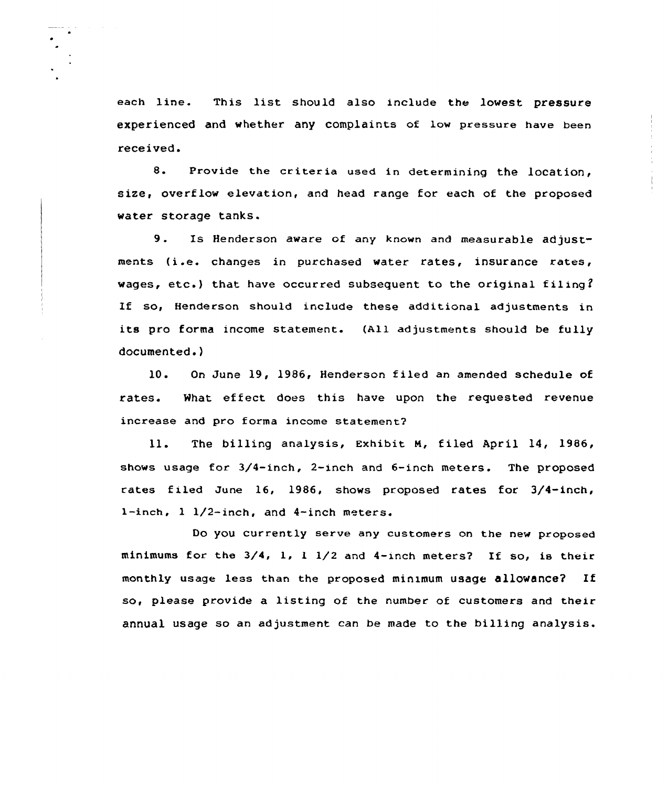each line. This list should also include the lowest pressure experienced and whether any complaints of low pressure have been received.

8. Provide the criteria used in determining the location, size, overflow elevation, and head range for each of the proposed water storage tanks.

9. Is Henderson aware of any known and measurable adjustments {i.e. changes in purchased water rates, insurance rates, wages, etc.) that have occurred subsequent to the original filing? If so, Henderson should include these additional adjustments in its pro forma income statement. {All adjustments should be fully documented.)

10. On June 19, 1986, Henderson filed an amended schedule of rates. What effect does this have upon the requested revenue increase and pro forma income statement?

ll. The billing analysis, Exhibit M, filed April 14, 1986, shows usage for 3/4-inch, 2-inch and 6-inch meters. The proposed rates filed June 16, 1986, shows proposed rates for 3/4-inch, 1-inch,  $1 \frac{1}{2}$ -inch, and 4-inch meters.

Do you currently serve any customers on the new proposed minimums for the 3/4, 1, <sup>1</sup> 1/2 and 4-inch meters? If so, is their monthly usage less than the proposed minimum usage allowance? If so, please provide a listing of the number of customers and their annual usage so an adjustment can be made to the billing analysis.